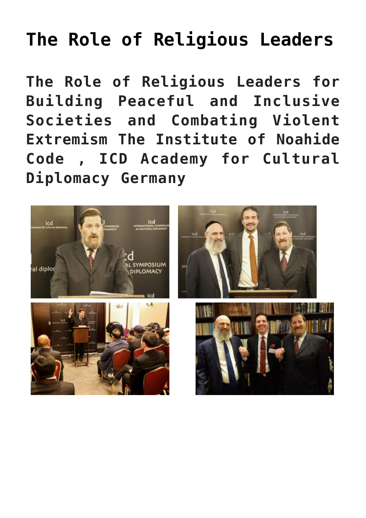## **[The Role of Religious Leaders](http://noahide.org/the-role-of-religious-leaders-for-building-peaceful-and-inclusive-societies-and-combating-violent-extremism-the-institute-of-noahide-code-icd-academy-for-cultural-diplomacy-germany/)**

**The Role of Religious Leaders for Building Peaceful and Inclusive Societies and Combating Violent Extremism The Institute of Noahide Code , ICD Academy for Cultural Diplomacy Germany**

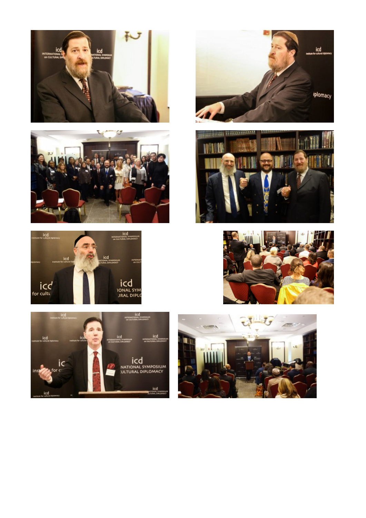













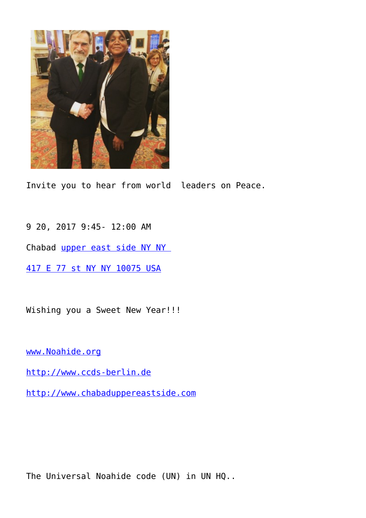

Invite you to hear from world leaders on Peace.

9 20, 2017 9:45- 12:00 AM

Chabad upper east side NY NY

[417 E 77 st NY NY 10075 USA](https://maps.google.com/?q=upper+east+side+NY+NY%C2%A0417+E+77+st+NY+NY+10075+USA&entry=gmail&source=g)

Wishing you a Sweet New Year!!!

[www.Noahide.org](http://www.noahide.org/)

[http://www.ccds-berlin.de](http://www.ccds-berlin.de/)

[http://www.chabaduppereastside.com](http://www.chabaduppereastside.com/)

The Universal Noahide code (UN) in UN HQ..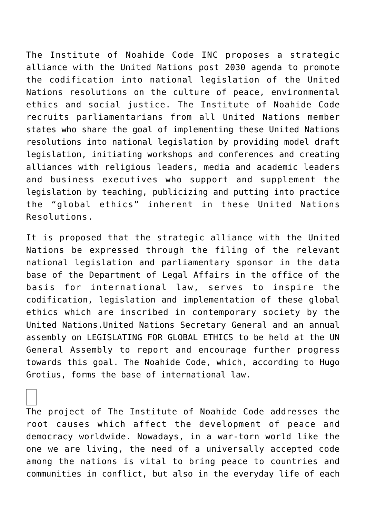The Institute of Noahide Code INC proposes a strategic alliance with the United Nations post 2030 agenda to promote the codification into national legislation of the United Nations resolutions on the culture of peace, environmental ethics and social justice. The Institute of Noahide Code recruits parliamentarians from all United Nations member states who share the goal of implementing these United Nations resolutions into national legislation by providing model draft legislation, initiating workshops and conferences and creating alliances with religious leaders, media and academic leaders and business executives who support and supplement the

legislation by teaching, publicizing and putting into practice the "global ethics" inherent in these United Nations Resolutions.

It is proposed that the strategic alliance with the United Nations be expressed through the filing of the relevant national legislation and parliamentary sponsor in the data base of the Department of Legal Affairs in the office of the basis for international law, serves to inspire the codification, legislation and implementation of these global ethics which are inscribed in contemporary society by the United Nations.United Nations Secretary General and an annual assembly on LEGISLATING FOR GLOBAL ETHICS to be held at the UN General Assembly to report and encourage further progress towards this goal. The Noahide Code, which, according to Hugo Grotius, forms the base of international law.

The project of The Institute of Noahide Code addresses the root causes which affect the development of peace and democracy worldwide. Nowadays, in a war-torn world like the one we are living, the need of a universally accepted code among the nations is vital to bring peace to countries and communities in conflict, but also in the everyday life of each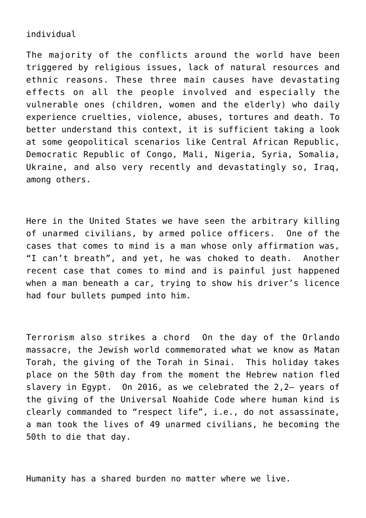## individual

The majority of the conflicts around the world have been triggered by religious issues, lack of natural resources and ethnic reasons. These three main causes have devastating effects on all the people involved and especially the vulnerable ones (children, women and the elderly) who daily experience cruelties, violence, abuses, tortures and death. To better understand this context, it is sufficient taking a look at some geopolitical scenarios like Central African Republic, Democratic Republic of Congo, Mali, Nigeria, Syria, Somalia, Ukraine, and also very recently and devastatingly so, Iraq, among others.

Here in the United States we have seen the arbitrary killing of unarmed civilians, by armed police officers. One of the cases that comes to mind is a man whose only affirmation was, "I can't breath", and yet, he was choked to death. Another recent case that comes to mind and is painful just happened when a man beneath a car, trying to show his driver's licence had four bullets pumped into him.

Terrorism also strikes a chord On the day of the Orlando massacre, the Jewish world commemorated what we know as Matan Torah, the giving of the Torah in Sinai. This holiday takes place on the 50th day from the moment the Hebrew nation fled slavery in Egypt. On 2016, as we celebrated the 2,2— years of the giving of the Universal Noahide Code where human kind is clearly commanded to "respect life", i.e., do not assassinate, a man took the lives of 49 unarmed civilians, he becoming the 50th to die that day.

Humanity has a shared burden no matter where we live.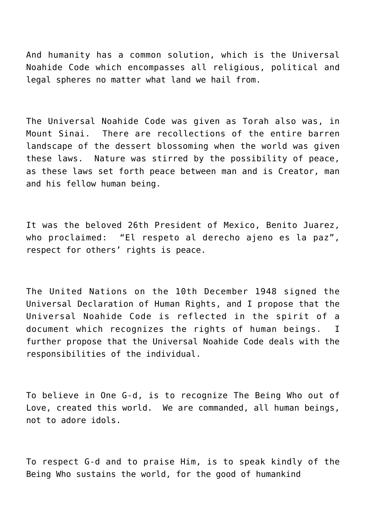And humanity has a common solution, which is the Universal Noahide Code which encompasses all religious, political and legal spheres no matter what land we hail from.

The Universal Noahide Code was given as Torah also was, in Mount Sinai. There are recollections of the entire barren landscape of the dessert blossoming when the world was given these laws. Nature was stirred by the possibility of peace, as these laws set forth peace between man and is Creator, man and his fellow human being.

It was the beloved 26th President of Mexico, Benito Juarez, who proclaimed: "El respeto al derecho ajeno es la paz", respect for others' rights is peace.

The United Nations on the 10th December 1948 signed the Universal Declaration of Human Rights, and I propose that the Universal Noahide Code is reflected in the spirit of a document which recognizes the rights of human beings. I further propose that the Universal Noahide Code deals with the responsibilities of the individual.

To believe in One G-d, is to recognize The Being Who out of Love, created this world. We are commanded, all human beings, not to adore idols.

To respect G-d and to praise Him, is to speak kindly of the Being Who sustains the world, for the good of humankind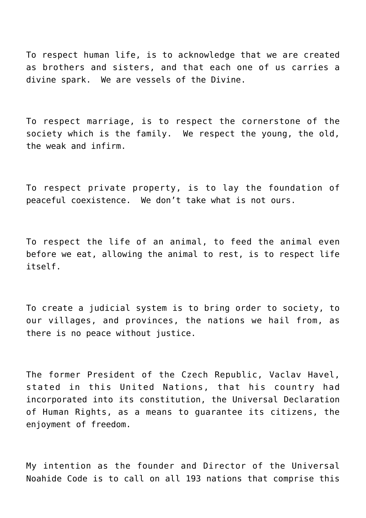To respect human life, is to acknowledge that we are created as brothers and sisters, and that each one of us carries a divine spark. We are vessels of the Divine.

To respect marriage, is to respect the cornerstone of the society which is the family. We respect the young, the old, the weak and infirm.

To respect private property, is to lay the foundation of peaceful coexistence. We don't take what is not ours.

To respect the life of an animal, to feed the animal even before we eat, allowing the animal to rest, is to respect life itself.

To create a judicial system is to bring order to society, to our villages, and provinces, the nations we hail from, as there is no peace without justice.

The former President of the Czech Republic, Vaclav Havel, stated in this United Nations, that his country had incorporated into its constitution, the Universal Declaration of Human Rights, as a means to guarantee its citizens, the enjoyment of freedom.

My intention as the founder and Director of the Universal Noahide Code is to call on all 193 nations that comprise this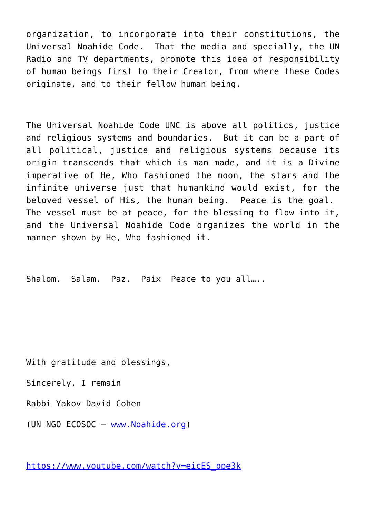organization, to incorporate into their constitutions, the Universal Noahide Code. That the media and specially, the UN Radio and TV departments, promote this idea of responsibility of human beings first to their Creator, from where these Codes originate, and to their fellow human being.

The Universal Noahide Code UNC is above all politics, justice and religious systems and boundaries. But it can be a part of all political, justice and religious systems because its origin transcends that which is man made, and it is a Divine imperative of He, Who fashioned the moon, the stars and the infinite universe just that humankind would exist, for the beloved vessel of His, the human being. Peace is the goal. The vessel must be at peace, for the blessing to flow into it, and the Universal Noahide Code organizes the world in the manner shown by He, Who fashioned it.

Shalom. Salam. Paz. Paix Peace to you all…..

With gratitude and blessings,

Sincerely, I remain

Rabbi Yakov David Cohen

(UN NGO ECOSOC – [www.Noahide.org\)](http://www.noahide.org/)

[https://www.youtube.com/watch?v=eicES\\_ppe3k](https://www.youtube.com/watch?v=eicES_ppe3k)